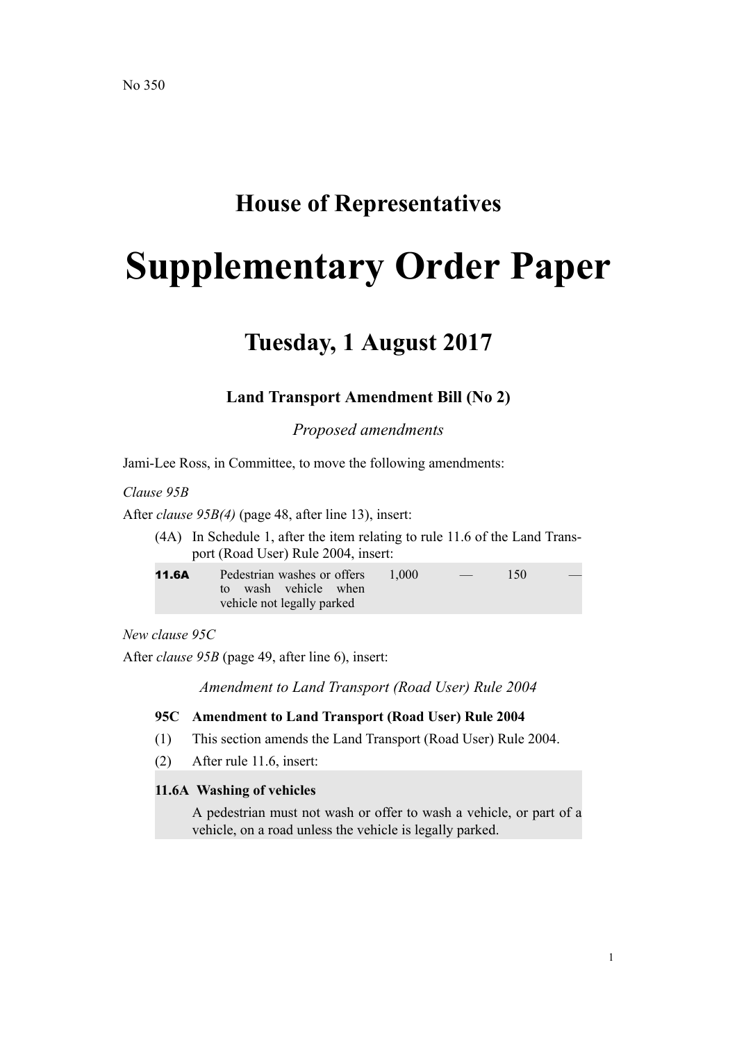## **House of Representatives**

# **Supplementary Order Paper**

## **Tuesday, 1 August 2017**

### **Land Transport Amendment Bill (No 2)**

*Proposed amendments*

Jami-Lee Ross, in Committee, to move the following amendments:

*Clause 95B*

After *clause 95B(4)* (page 48, after line 13), insert:

(4A) In Schedule 1, after the item relating to rule 11.6 of the Land Transport (Road User) Rule 2004, insert:

| 11.6A | Pedestrian washes or offers | 1.000 | $\overline{\phantom{a}}$ | 150 |  |
|-------|-----------------------------|-------|--------------------------|-----|--|
|       | to wash vehicle when        |       |                          |     |  |
|       | vehicle not legally parked  |       |                          |     |  |

#### *New clause 95C*

After *clause 95B* (page 49, after line 6), insert:

*Amendment to Land Transport (Road User) Rule 2004*

#### **95C Amendment to Land Transport (Road User) Rule 2004**

- (1) This section amends the Land Transport (Road User) Rule 2004.
- (2) After rule 11.6, insert:

#### **11.6A Washing of vehicles**

A pedestrian must not wash or offer to wash a vehicle, or part of a vehicle, on a road unless the vehicle is legally parked.